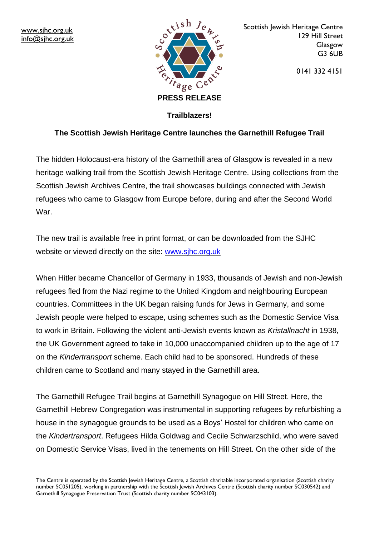

Scottish Jewish Heritage Centre 129 Hill Street Glasgow G3 6UB

0141 332 4151

### **Trailblazers!**

## **The Scottish Jewish Heritage Centre launches the Garnethill Refugee Trail**

The hidden Holocaust-era history of the Garnethill area of Glasgow is revealed in a new heritage walking trail from the Scottish Jewish Heritage Centre. Using collections from the Scottish Jewish Archives Centre, the trail showcases buildings connected with Jewish refugees who came to Glasgow from Europe before, during and after the Second World War.

The new trail is available free in print format, or can be downloaded from the SJHC website or viewed directly on the site: www.sjhc.org.uk

When Hitler became Chancellor of Germany in 1933, thousands of Jewish and non-Jewish refugees fled from the Nazi regime to the United Kingdom and neighbouring European countries. Committees in the UK began raising funds for Jews in Germany, and some Jewish people were helped to escape, using schemes such as the Domestic Service Visa to work in Britain. Following the violent anti-Jewish events known as *Kristallnacht* in 1938, the UK Government agreed to take in 10,000 unaccompanied children up to the age of 17 on the *Kindertransport* scheme. Each child had to be sponsored. Hundreds of these children came to Scotland and many stayed in the Garnethill area.

The Garnethill Refugee Trail begins at Garnethill Synagogue on Hill Street. Here, the Garnethill Hebrew Congregation was instrumental in supporting refugees by refurbishing a house in the synagogue grounds to be used as a Boys' Hostel for children who came on the *Kindertransport*. Refugees Hilda Goldwag and Cecile Schwarzschild, who were saved on Domestic Service Visas, lived in the tenements on Hill Street. On the other side of the

The Centre is operated by the Scottish Jewish Heritage Centre, a Scottish charitable incorporated organisation (Scottish charity number SC051205), working in partnership with the Scottish Jewish Archives Centre (Scottish charity number SC030542) and Garnethill Synagogue Preservation Trust (Scottish charity number SC043103).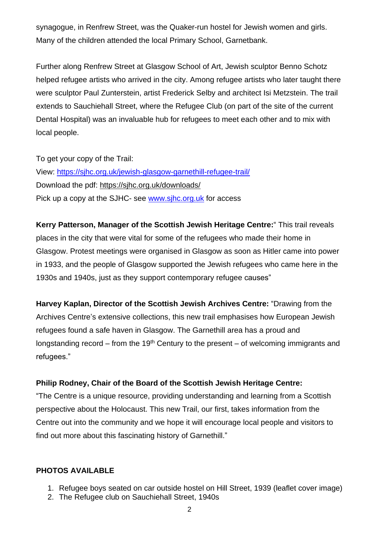synagogue, in Renfrew Street, was the Quaker-run hostel for Jewish women and girls. Many of the children attended the local Primary School, Garnetbank.

Further along Renfrew Street at Glasgow School of Art, Jewish sculptor Benno Schotz helped refugee artists who arrived in the city. Among refugee artists who later taught there were sculptor Paul Zunterstein, artist Frederick Selby and architect Isi Metzstein. The trail extends to Sauchiehall Street, where the Refugee Club (on part of the site of the current Dental Hospital) was an invaluable hub for refugees to meet each other and to mix with local people.

To get your copy of the Trail: View: <https://sjhc.org.uk/jewish-glasgow-garnethill-refugee-trail/> Download the pdf: <https://sjhc.org.uk/downloads/> Pick up a copy at the SJHC- see [www.sjhc.org.uk](http://www.sjhc.org.uk/) for access

**Kerry Patterson, Manager of the Scottish Jewish Heritage Centre:**" This trail reveals places in the city that were vital for some of the refugees who made their home in Glasgow. Protest meetings were organised in Glasgow as soon as Hitler came into power in 1933, and the people of Glasgow supported the Jewish refugees who came here in the 1930s and 1940s, just as they support contemporary refugee causes"

**Harvey Kaplan, Director of the Scottish Jewish Archives Centre:** "Drawing from the Archives Centre's extensive collections, this new trail emphasises how European Jewish refugees found a safe haven in Glasgow. The Garnethill area has a proud and longstanding record – from the 19<sup>th</sup> Century to the present – of welcoming immigrants and refugees."

#### **Philip Rodney, Chair of the Board of the Scottish Jewish Heritage Centre:**

"The Centre is a unique resource, providing understanding and learning from a Scottish perspective about the Holocaust. This new Trail, our first, takes information from the Centre out into the community and we hope it will encourage local people and visitors to find out more about this fascinating history of Garnethill."

#### **PHOTOS AVAILABLE**

- 1. Refugee boys seated on car outside hostel on Hill Street, 1939 (leaflet cover image)
- 2. The Refugee club on Sauchiehall Street, 1940s